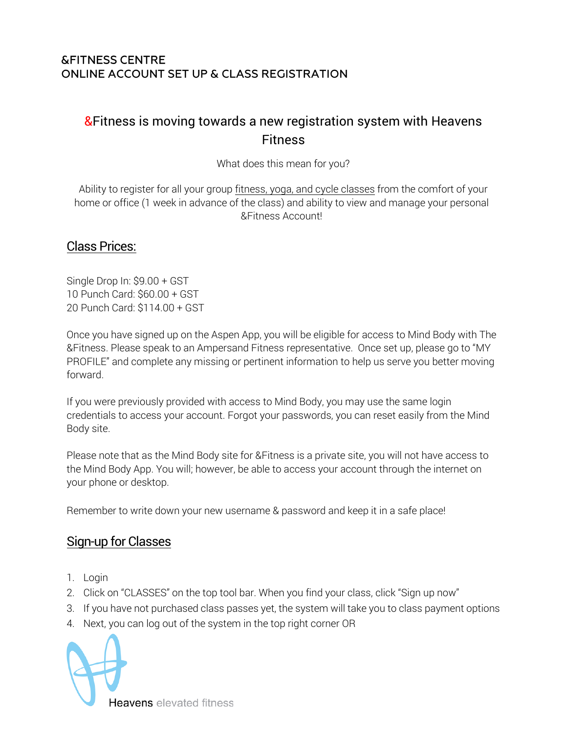#### **&FITNESS CENTRE** ONLINE ACCOUNT SET UP & CLASS REGISTRATION

# & Fitness is moving towards a new registration system with Heavens Fitness

What does this mean for you?

Ability to register for all your group fitness, yoga, and cycle classes from the comfort of your home or office (1 week in advance of the class) and ability to view and manage your personal &Fitness Account!

#### Class Prices:

Single Drop In: \$9.00 + GST 10 Punch Card: \$60.00 + GST 20 Punch Card: \$114.00 + GST

Once you have signed up on the Aspen App, you will be eligible for access to Mind Body with The &Fitness. Please speak to an Ampersand Fitness representative. Once set up, please go to "MY PROFILE" and complete any missing or pertinent information to help us serve you better moving forward.

If you were previously provided with access to Mind Body, you may use the same login credentials to access your account. Forgot your passwords, you can reset easily from the Mind Body site.

Please note that as the Mind Body site for &Fitness is a private site, you will not have access to the Mind Body App. You will; however, be able to access your account through the internet on your phone or desktop.

Remember to write down your new username & password and keep it in a safe place!

## Sign-up for Classes

- 1. Login
- 2. Click on "CLASSES" on the top tool bar. When you find your class, click "Sign up now"
- 3. If you have not purchased class passes yet, the system will take you to class payment options
- 4. Next, you can log out of the system in the top right corner OR



**Heavens** elevated fitness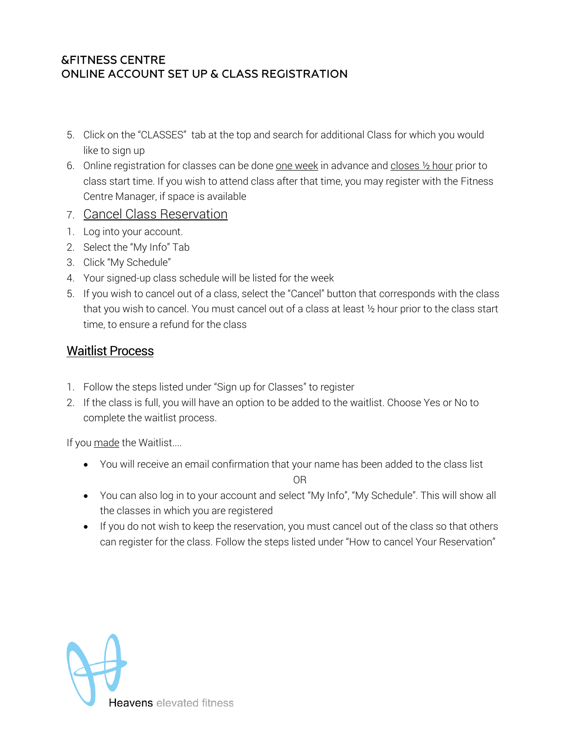#### **&FITNESS CENTRE** ONLINE ACCOUNT SET UP & CLASS REGISTRATION

- 5. Click on the "CLASSES" tab at the top and search for additional Class for which you would like to sign up
- 6. Online registration for classes can be done one week in advance and closes  $\frac{1}{2}$  hour prior to class start time. If you wish to attend class after that time, you may register with the Fitness Centre Manager, if space is available
- 7. Cancel Class Reservation
- 1. Log into your account.
- 2. Select the "My Info" Tab
- 3. Click "My Schedule"
- 4. Your signed-up class schedule will be listed for the week
- 5. If you wish to cancel out of a class, select the "Cancel" button that corresponds with the class that you wish to cancel. You must cancel out of a class at least ½ hour prior to the class start time, to ensure a refund for the class

## Waitlist Process

- 1. Follow the steps listed under "Sign up for Classes" to register
- 2. If the class is full, you will have an option to be added to the waitlist. Choose Yes or No to complete the waitlist process.

If you made the Waitlist....

• You will receive an email confirmation that your name has been added to the class list

OR

- You can also log in to your account and select "My Info", "My Schedule". This will show all the classes in which you are registered
- If you do not wish to keep the reservation, you must cancel out of the class so that others can register for the class. Follow the steps listed under "How to cancel Your Reservation"